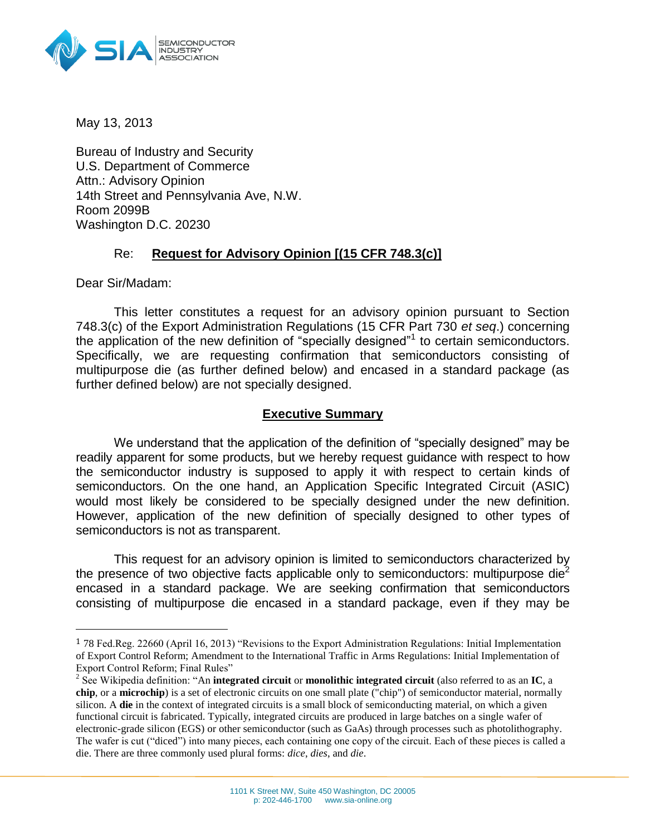

May 13, 2013

Bureau of Industry and Security U.S. Department of Commerce Attn.: Advisory Opinion 14th Street and Pennsylvania Ave, N.W. Room 2099B Washington D.C. 20230

### Re: **Request for Advisory Opinion [(15 CFR 748.3(c)]**

Dear Sir/Madam:

 $\overline{a}$ 

This letter constitutes a request for an advisory opinion pursuant to Section 748.3(c) of the Export Administration Regulations (15 CFR Part 730 *et seq*.) concerning the application of the new definition of "specially designed"<sup>1</sup> to certain semiconductors. Specifically, we are requesting confirmation that semiconductors consisting of multipurpose die (as further defined below) and encased in a standard package (as further defined below) are not specially designed.

### **Executive Summary**

We understand that the application of the definition of "specially designed" may be readily apparent for some products, but we hereby request guidance with respect to how the semiconductor industry is supposed to apply it with respect to certain kinds of semiconductors. On the one hand, an Application Specific Integrated Circuit (ASIC) would most likely be considered to be specially designed under the new definition. However, application of the new definition of specially designed to other types of semiconductors is not as transparent.

This request for an advisory opinion is limited to semiconductors characterized by the presence of two objective facts applicable only to semiconductors: multipurpose die<sup>2</sup> encased in a standard package. We are seeking confirmation that semiconductors consisting of multipurpose die encased in a standard package, even if they may be

<sup>1</sup> 78 Fed.Reg. 22660 (April 16, 2013) "Revisions to the Export Administration Regulations: Initial Implementation of Export Control Reform; Amendment to the International Traffic in Arms Regulations: Initial Implementation of Export Control Reform; Final Rules"

<sup>2</sup> See Wikipedia definition: "An **integrated circuit** or **monolithic integrated circuit** (also referred to as an **IC**, a **chip**, or a **microchip**) is a set of [electronic circuits](http://en.wikipedia.org/wiki/Electronic_circuit) on one small plate ("chip") o[f semiconductor material,](http://en.wikipedia.org/wiki/Semiconductor_material) normally [silicon.](http://en.wikipedia.org/wiki/Silicon) A **die** in the context of [integrated circuits](http://en.wikipedia.org/wiki/Integrated_circuit) is a small block o[f semiconducting](http://en.wikipedia.org/wiki/Semiconducting) material, on which a given functional circuit is fabricated. Typically, integrated circuits are produced in large batches on a single [wafer](http://en.wikipedia.org/wiki/Wafer_(electronics)) of electronic-grade [silicon](http://en.wikipedia.org/wiki/Monocrystalline_silicon) (EGS) or other semiconductor (such as [GaAs\)](http://en.wikipedia.org/wiki/Gallium_arsenide) through processes such as [photolithography.](http://en.wikipedia.org/wiki/Photolithography) The wafer is cut (["diced"](http://en.wikipedia.org/wiki/Wafer_dicing)) into many pieces, each containing one copy of the circuit. Each of these pieces is called a die. There are three commonly used plural forms: *dice*, *dies*, and *die*.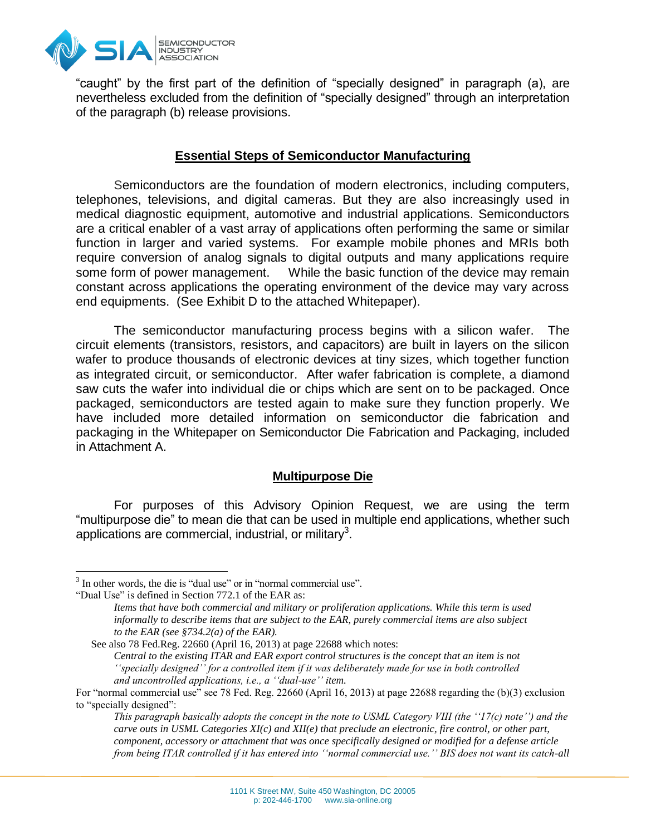

"caught" by the first part of the definition of "specially designed" in paragraph (a), are nevertheless excluded from the definition of "specially designed" through an interpretation of the paragraph (b) release provisions.

### **Essential Steps of Semiconductor Manufacturing**

Semiconductors are the foundation of modern electronics, including computers, telephones, televisions, and digital cameras. But they are also increasingly used in medical diagnostic equipment, automotive and industrial applications. Semiconductors are a critical enabler of a vast array of applications often performing the same or similar function in larger and varied systems. For example mobile phones and MRIs both require conversion of analog signals to digital outputs and many applications require some form of power management. While the basic function of the device may remain constant across applications the operating environment of the device may vary across end equipments. (See Exhibit D to the attached Whitepaper).

The semiconductor manufacturing process begins with a silicon wafer. The circuit elements (transistors, resistors, and capacitors) are built in layers on the silicon wafer to produce thousands of electronic devices at tiny sizes, which together function as integrated circuit, or semiconductor. After wafer fabrication is complete, a diamond saw cuts the wafer into individual die or chips which are sent on to be packaged. Once packaged, semiconductors are tested again to make sure they function properly. We have included more detailed information on semiconductor die fabrication and packaging in the Whitepaper on Semiconductor Die Fabrication and Packaging, included in Attachment A.

### **Multipurpose Die**

For purposes of this Advisory Opinion Request, we are using the term "multipurpose die" to mean die that can be used in multiple end applications, whether such applications are commercial, industrial, or military<sup>3</sup>.

 $\overline{a}$ 

<sup>&</sup>lt;sup>3</sup> In other words, the die is "dual use" or in "normal commercial use".

<sup>&</sup>quot;Dual Use" is defined in Section 772.1 of the EAR as:

*Items that have both commercial and military or proliferation applications. While this term is used informally to describe items that are subject to the EAR, purely commercial items are also subject to the EAR (see §734.2(a) of the EAR).*

See also 78 Fed.Reg. 22660 (April 16, 2013) at page 22688 which notes: *Central to the existing ITAR and EAR export control structures is the concept that an item is not ''specially designed'' for a controlled item if it was deliberately made for use in both controlled and uncontrolled applications, i.e., a ''dual-use'' item.*

For "normal commercial use" see 78 Fed. Reg. 22660 (April 16, 2013) at page 22688 regarding the (b)(3) exclusion to "specially designed":

*This paragraph basically adopts the concept in the note to USML Category VIII (the ''17(c) note'') and the carve outs in USML Categories XI(c) and XII(e) that preclude an electronic, fire control, or other part, component, accessory or attachment that was once specifically designed or modified for a defense article from being ITAR controlled if it has entered into ''normal commercial use.'' BIS does not want its catch-all*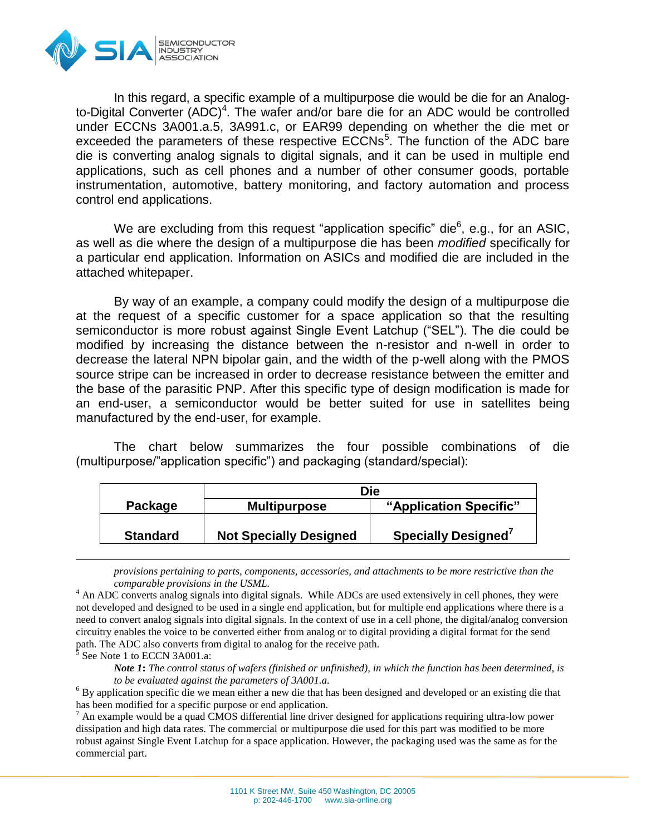

In this regard, a specific example of a multipurpose die would be die for an Analogto-Digital Converter  $(ADC)^4$ . The wafer and/or bare die for an ADC would be controlled under ECCNs 3A001.a.5, 3A991.c, or EAR99 depending on whether the die met or exceeded the parameters of these respective ECCNs<sup>5</sup>. The function of the ADC bare die is converting analog signals to digital signals, and it can be used in multiple end applications, such as cell phones and a number of other consumer goods, portable instrumentation, automotive, battery monitoring, and factory automation and process control end applications.

We are excluding from this request "application specific" die $6$ , e.g., for an ASIC, as well as die where the design of a multipurpose die has been *modified* specifically for a particular end application. Information on ASICs and modified die are included in the attached whitepaper.

By way of an example, a company could modify the design of a multipurpose die at the request of a specific customer for a space application so that the resulting semiconductor is more robust against Single Event Latchup ("SEL"). The die could be modified by increasing the distance between the n-resistor and n-well in order to decrease the lateral NPN bipolar gain, and the width of the p-well along with the PMOS source stripe can be increased in order to decrease resistance between the emitter and the base of the parasitic PNP. After this specific type of design modification is made for an end-user, a semiconductor would be better suited for use in satellites being manufactured by the end-user, for example.

The chart below summarizes the four possible combinations of die (multipurpose/"application specific") and packaging (standard/special):

|                 | Die                           |                                 |
|-----------------|-------------------------------|---------------------------------|
| Package         | <b>Multipurpose</b>           | "Application Specific"          |
| <b>Standard</b> | <b>Not Specially Designed</b> | Specially Designed <sup>7</sup> |
|                 |                               |                                 |

*provisions pertaining to parts, components, accessories, and attachments to be more restrictive than the comparable provisions in the USML.*

<sup>4</sup> An ADC converts analog signals into digital signals. While ADCs are used extensively in cell phones, they were not developed and designed to be used in a single end application, but for multiple end applications where there is a need to convert analog signals into digital signals. In the context of use in a cell phone, the digital/analog conversion circuitry enables the voice to be converted either from analog or to digital providing a digital format for the send path. The ADC also converts from digital to analog for the receive path.

5 See Note 1 to ECCN 3A001.a:

 $\overline{a}$ 

*Note 1***:** *The control status of wafers (finished or unfinished), in which the function has been determined, is to be evaluated against the parameters of 3A001.a.*

<sup>6</sup> By application specific die we mean either a new die that has been designed and developed or an existing die that has been modified for a specific purpose or end application.

 $<sup>7</sup>$  An example would be a quad CMOS differential line driver designed for applications requiring ultra-low power</sup> dissipation and high data rates. The commercial or multipurpose die used for this part was modified to be more robust against Single Event Latchup for a space application. However, the packaging used was the same as for the commercial part.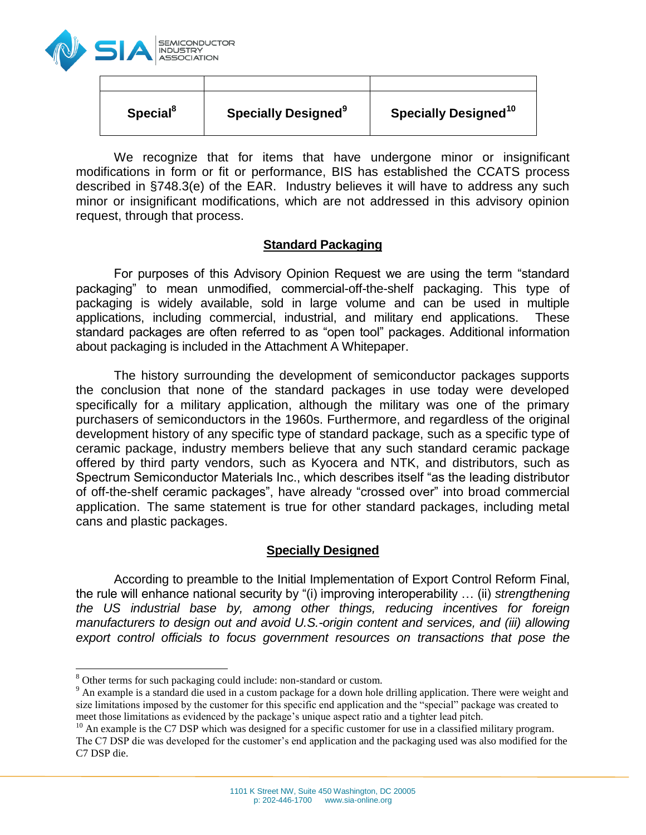

| Special <sup>8</sup> | <b>Specially Designed</b> <sup>9</sup> | Specially Designed <sup>10</sup> |
|----------------------|----------------------------------------|----------------------------------|

We recognize that for items that have undergone minor or insignificant modifications in form or fit or performance, BIS has established the CCATS process described in §748.3(e) of the EAR. Industry believes it will have to address any such minor or insignificant modifications, which are not addressed in this advisory opinion request, through that process.

#### **Standard Packaging**

For purposes of this Advisory Opinion Request we are using the term "standard packaging" to mean unmodified, commercial-off-the-shelf packaging. This type of packaging is widely available, sold in large volume and can be used in multiple applications, including commercial, industrial, and military end applications. These standard packages are often referred to as "open tool" packages. Additional information about packaging is included in the Attachment A Whitepaper.

The history surrounding the development of semiconductor packages supports the conclusion that none of the standard packages in use today were developed specifically for a military application, although the military was one of the primary purchasers of semiconductors in the 1960s. Furthermore, and regardless of the original development history of any specific type of standard package, such as a specific type of ceramic package, industry members believe that any such standard ceramic package offered by third party vendors, such as Kyocera and NTK, and distributors, such as Spectrum Semiconductor Materials Inc., which describes itself "as the leading distributor of off-the-shelf ceramic packages", have already "crossed over" into broad commercial application. The same statement is true for other standard packages, including metal cans and plastic packages.

### **Specially Designed**

According to preamble to the Initial Implementation of Export Control Reform Final, the rule will enhance national security by "(i) improving interoperability … (ii) *strengthening the US industrial base by, among other things, reducing incentives for foreign manufacturers to design out and avoid U.S.-origin content and services, and (iii) allowing export control officials to focus government resources on transactions that pose the*

 $\overline{a}$ 

<sup>&</sup>lt;sup>8</sup> Other terms for such packaging could include: non-standard or custom.

<sup>&</sup>lt;sup>9</sup> An example is a standard die used in a custom package for a down hole drilling application. There were weight and size limitations imposed by the customer for this specific end application and the "special" package was created to meet those limitations as evidenced by the package's unique aspect ratio and a tighter lead pitch.

 $10$  An example is the C7 DSP which was designed for a specific customer for use in a classified military program. The C7 DSP die was developed for the customer's end application and the packaging used was also modified for the C7 DSP die.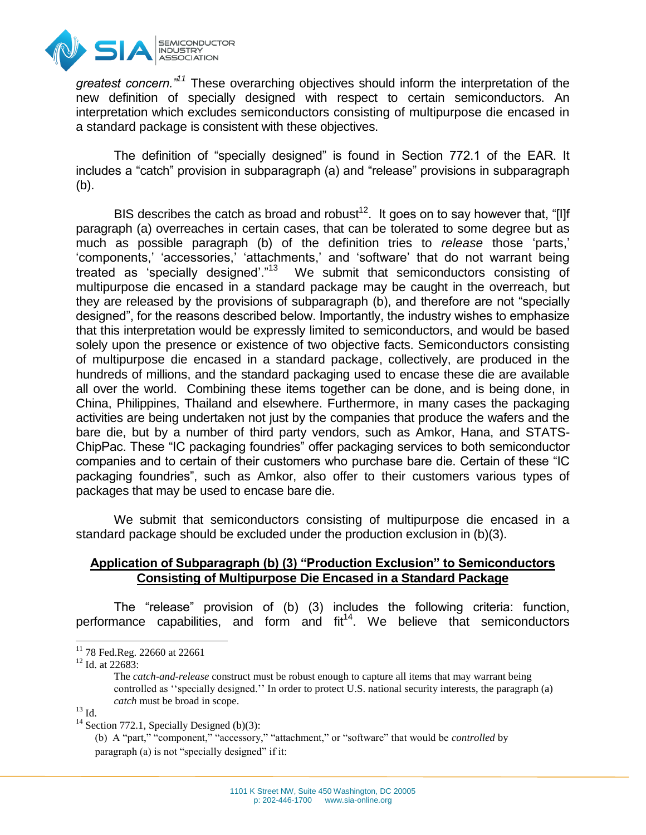

*greatest concern."<sup>11</sup>* These overarching objectives should inform the interpretation of the new definition of specially designed with respect to certain semiconductors. An interpretation which excludes semiconductors consisting of multipurpose die encased in a standard package is consistent with these objectives.

The definition of "specially designed" is found in Section 772.1 of the EAR. It includes a "catch" provision in subparagraph (a) and "release" provisions in subparagraph (b).

BIS describes the catch as broad and robust<sup>12</sup>. It goes on to say however that, "[I]f paragraph (a) overreaches in certain cases, that can be tolerated to some degree but as much as possible paragraph (b) of the definition tries to *release* those 'parts,' 'components,' 'accessories,' 'attachments,' and 'software' that do not warrant being treated as 'specially designed'."<sup>13</sup> We submit that semiconductors consisting of multipurpose die encased in a standard package may be caught in the overreach, but they are released by the provisions of subparagraph (b), and therefore are not "specially designed", for the reasons described below. Importantly, the industry wishes to emphasize that this interpretation would be expressly limited to semiconductors, and would be based solely upon the presence or existence of two objective facts. Semiconductors consisting of multipurpose die encased in a standard package, collectively, are produced in the hundreds of millions, and the standard packaging used to encase these die are available all over the world. Combining these items together can be done, and is being done, in China, Philippines, Thailand and elsewhere. Furthermore, in many cases the packaging activities are being undertaken not just by the companies that produce the wafers and the bare die, but by a number of third party vendors, such as Amkor, Hana, and STATS-ChipPac. These "IC packaging foundries" offer packaging services to both semiconductor companies and to certain of their customers who purchase bare die. Certain of these "IC packaging foundries", such as Amkor, also offer to their customers various types of packages that may be used to encase bare die.

We submit that semiconductors consisting of multipurpose die encased in a standard package should be excluded under the production exclusion in (b)(3).

### **Application of Subparagraph (b) (3) "Production Exclusion" to Semiconductors Consisting of Multipurpose Die Encased in a Standard Package**

The "release" provision of (b) (3) includes the following criteria: function, performance capabilities, and form and  $fit^{14}$ . We believe that semiconductors

<sup>12</sup> Id. at 22683:

The *catch-and-release* construct must be robust enough to capture all items that may warrant being controlled as ''specially designed.'' In order to protect U.S. national security interests, the paragraph (a) *catch* must be broad in scope.

 $^{13}$  Id.

 $\overline{a}$ 

 $14$  Section 772.1, Specially Designed (b)(3):

(b) A "part," "component," "accessory," "attachment," or "software" that would be *controlled* by paragraph (a) is not "specially designed" if it:

 $11$  78 Fed.Reg. 22660 at 22661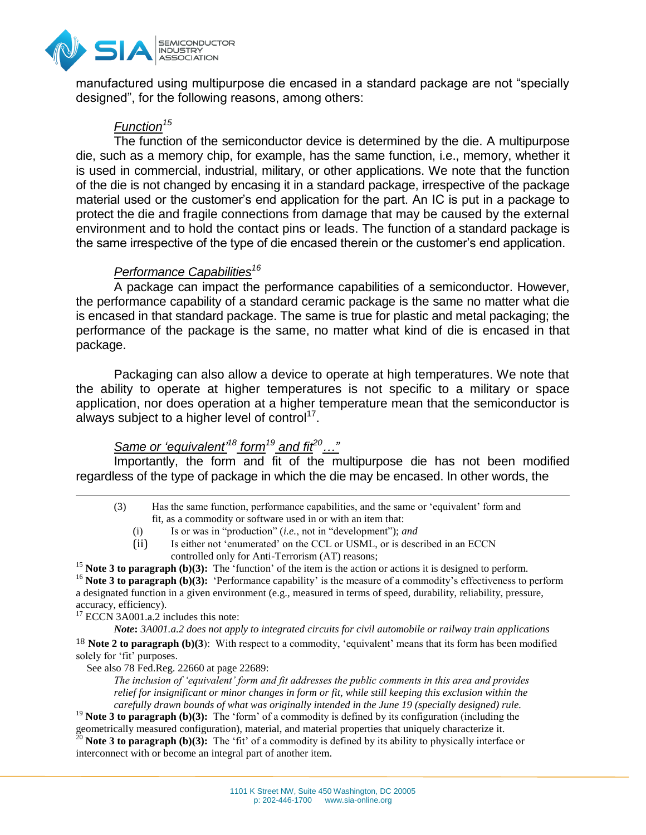

manufactured using multipurpose die encased in a standard package are not "specially designed", for the following reasons, among others:

# *Function<sup>15</sup>*

The function of the semiconductor device is determined by the die. A multipurpose die, such as a memory chip, for example, has the same function, i.e., memory, whether it is used in commercial, industrial, military, or other applications. We note that the function of the die is not changed by encasing it in a standard package, irrespective of the package material used or the customer's end application for the part. An IC is put in a package to protect the die and fragile connections from damage that may be caused by the external environment and to hold the contact pins or leads. The function of a standard package is the same irrespective of the type of die encased therein or the customer's end application.

# *Performance Capabilities<sup>16</sup>*

A package can impact the performance capabilities of a semiconductor. However, the performance capability of a standard ceramic package is the same no matter what die is encased in that standard package. The same is true for plastic and metal packaging; the performance of the package is the same, no matter what kind of die is encased in that package.

Packaging can also allow a device to operate at high temperatures. We note that the ability to operate at higher temperatures is not specific to a military or space application, nor does operation at a higher temperature mean that the semiconductor is always subject to a higher level of control<sup>17</sup>.

# *Same or 'equivalent'<sup>18</sup> form<sup>19</sup> and fit<sup>20</sup>…"*

Importantly, the form and fit of the multipurpose die has not been modified regardless of the type of package in which the die may be encased. In other words, the

- (3) Has the same function, performance capabilities, and the same or 'equivalent' form and fit, as a commodity or software used in or with an item that:
	- (i) Is or was in "production" (*i.e.*, not in "development"); *and*
	- (ii) Is either not 'enumerated' on the CCL or USML, or is described in an ECCN controlled only for Anti-Terrorism (AT) reasons;

<sup>15</sup> **Note 3 to paragraph (b)(3):** The 'function' of the item is the action or actions it is designed to perform.

<sup>16</sup> Note 3 to paragraph (b)(3): 'Performance capability' is the measure of a commodity's effectiveness to perform a designated function in a given environment (e.g., measured in terms of speed, durability, reliability, pressure, accuracy, efficiency).

<sup>17</sup> ECCN 3A001.a.2 includes this note:

 $\overline{a}$ 

*Note***:** *3A001.a.2 does not apply to integrated circuits for civil automobile or railway train applications* 18 **Note 2 to paragraph (b)(3**): With respect to a commodity, 'equivalent' means that its form has been modified solely for 'fit' purposes.

See also 78 Fed.Reg. 22660 at page 22689:

*The inclusion of 'equivalent' form and fit addresses the public comments in this area and provides relief for insignificant or minor changes in form or fit, while still keeping this exclusion within the carefully drawn bounds of what was originally intended in the June 19 (specially designed) rule.*

<sup>19</sup> **Note 3 to paragraph (b)(3):** The 'form' of a commodity is defined by its configuration (including the geometrically measured configuration), material, and material properties that uniquely characterize it.

<sup>20</sup> **Note 3 to paragraph (b)(3):** The 'fit' of a commodity is defined by its ability to physically interface or interconnect with or become an integral part of another item.